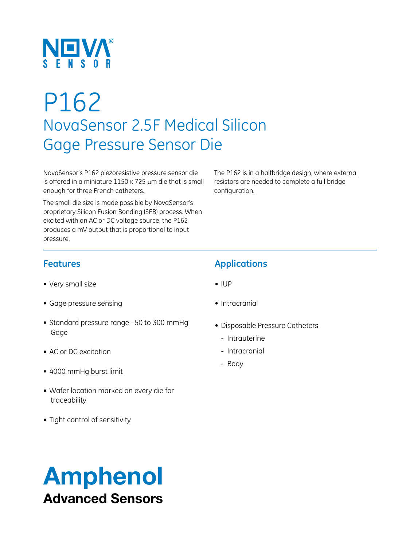

# P162 NovaSensor 2.5F Medical Silicon Gage Pressure Sensor Die

NovaSensor's P162 piezoresistive pressure sensor die is offered in a miniature  $1150 \times 725$  µm die that is small enough for three French catheters.

The small die size is made possible by NovaSensor's proprietary Silicon Fusion Bonding (SFB) process. When excited with an AC or DC voltage source, the P162 produces a mV output that is proportional to input pressure.

The P162 is in a halfbridge design, where external resistors are needed to complete a full bridge configuration.

#### **Features**

- • Very small size
- • Gage pressure sensing
- Standard pressure range -50 to 300 mmHg Gage
- AC or DC excitation
- • 4000 mmHg burst limit
- • Wafer location marked on every die for traceability
- Tight control of sensitivity

### **Applications**

- • IUP
- Intracranial
- • Disposable Pressure Catheters
	- Intrauterine
	- Intracranial
	- Body